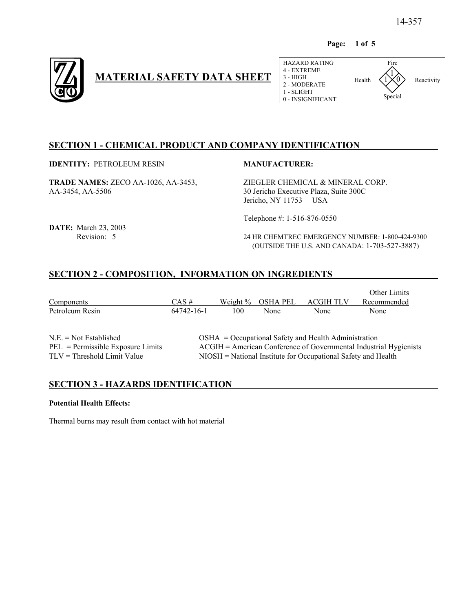**Page: 1 of 5**



# **MATERIAL SAFETY DATA SHEET**

| HAZARD RATING<br>4 - EXTREME<br>$3 - HIGH$<br>2 - MODERATE<br>1 - SLIGHT<br>0 - INSIGNIFICANT | Health | Fire<br>Special | Reactivity |
|-----------------------------------------------------------------------------------------------|--------|-----------------|------------|
|                                                                                               |        |                 |            |

# **SECTION 1 - CHEMICAL PRODUCT AND COMPANY IDENTIFICATION**

**IDENTITY: PETROLEUM RESIN MANUFACTURER:** 

**TRADE NAMES:** ZECO AA-1026, AA-3453, ZIEGLER CHEMICAL & MINERAL CORP. AA-3454, AA-5506 30 Jericho Executive Plaza, Suite 300C

Jericho, NY 11753 USA

Telephone #: 1-516-876-0550

**DATE:** March 23, 2003

Revision: 5 24 HR CHEMTREC EMERGENCY NUMBER: 1-800-424-9300 (OUTSIDE THE U.S. AND CANADA: 1-703-527-3887)

# **SECTION 2 - COMPOSITION, INFORMATION ON INGREDIENTS**

|                                                                                                  |                                                                                                                                                                                                |             |                 |                  | <b>Other Limits</b> |
|--------------------------------------------------------------------------------------------------|------------------------------------------------------------------------------------------------------------------------------------------------------------------------------------------------|-------------|-----------------|------------------|---------------------|
| Components                                                                                       | $CAS \#$                                                                                                                                                                                       | Weight $\%$ | <b>OSHA PEL</b> | <b>ACGIH TLV</b> | Recommended         |
| Petroleum Resin                                                                                  | 64742-16-1                                                                                                                                                                                     | 100         | None            | None             | None                |
| $N.E. = Not Established$<br>$PEL =$ Permissible Exposure Limits<br>$TLV = Threshold Limit Value$ | $OSHA = Occupational Safety$ and Health Administration<br>ACGIH = American Conference of Governmental Industrial Hygienists<br>$NIOSH = National Institute for Occupational Safety and Health$ |             |                 |                  |                     |

### **SECTION 3 - HAZARDS IDENTIFICATION**

#### **Potential Health Effects:**

Thermal burns may result from contact with hot material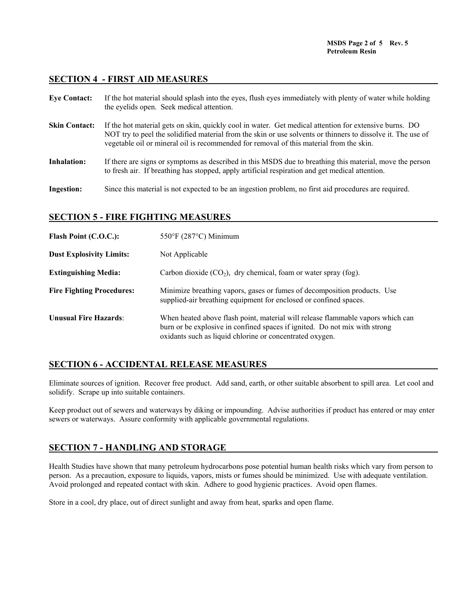#### **SECTION 4 - FIRST AID MEASURES**

| <b>Eye Contact:</b>  | If the hot material should splash into the eyes, flush eyes immediately with plenty of water while holding<br>the eyelids open. Seek medical attention.                                                                                                                                                           |
|----------------------|-------------------------------------------------------------------------------------------------------------------------------------------------------------------------------------------------------------------------------------------------------------------------------------------------------------------|
| <b>Skin Contact:</b> | If the hot material gets on skin, quickly cool in water. Get medical attention for extensive burns. DO<br>NOT try to peel the solidified material from the skin or use solvents or thinners to dissolve it. The use of<br>vegetable oil or mineral oil is recommended for removal of this material from the skin. |
| <b>Inhalation:</b>   | If there are signs or symptoms as described in this MSDS due to breathing this material, move the person<br>to fresh air. If breathing has stopped, apply artificial respiration and get medical attention.                                                                                                       |
| <b>Ingestion:</b>    | Since this material is not expected to be an ingestion problem, no first aid procedures are required.                                                                                                                                                                                                             |

### **SECTION 5 - FIRE FIGHTING MEASURES**

| Flash Point (C.O.C.):            | $550^{\circ}$ F (287 $^{\circ}$ C) Minimum                                                                                                                                                                                |
|----------------------------------|---------------------------------------------------------------------------------------------------------------------------------------------------------------------------------------------------------------------------|
| <b>Dust Explosivity Limits:</b>  | Not Applicable                                                                                                                                                                                                            |
| <b>Extinguishing Media:</b>      | Carbon dioxide $(CO_2)$ , dry chemical, foam or water spray (fog).                                                                                                                                                        |
| <b>Fire Fighting Procedures:</b> | Minimize breathing vapors, gases or fumes of decomposition products. Use<br>supplied-air breathing equipment for enclosed or confined spaces.                                                                             |
| <b>Unusual Fire Hazards:</b>     | When heated above flash point, material will release flammable vapors which can<br>burn or be explosive in confined spaces if ignited. Do not mix with strong<br>oxidants such as liquid chlorine or concentrated oxygen. |

# **SECTION 6 - ACCIDENTAL RELEASE MEASURES**

Eliminate sources of ignition. Recover free product. Add sand, earth, or other suitable absorbent to spill area. Let cool and solidify. Scrape up into suitable containers.

Keep product out of sewers and waterways by diking or impounding. Advise authorities if product has entered or may enter sewers or waterways. Assure conformity with applicable governmental regulations.

### **SECTION 7 - HANDLING AND STORAGE**

Health Studies have shown that many petroleum hydrocarbons pose potential human health risks which vary from person to person. As a precaution, exposure to liquids, vapors, mists or fumes should be minimized. Use with adequate ventilation. Avoid prolonged and repeated contact with skin. Adhere to good hygienic practices. Avoid open flames.

Store in a cool, dry place, out of direct sunlight and away from heat, sparks and open flame.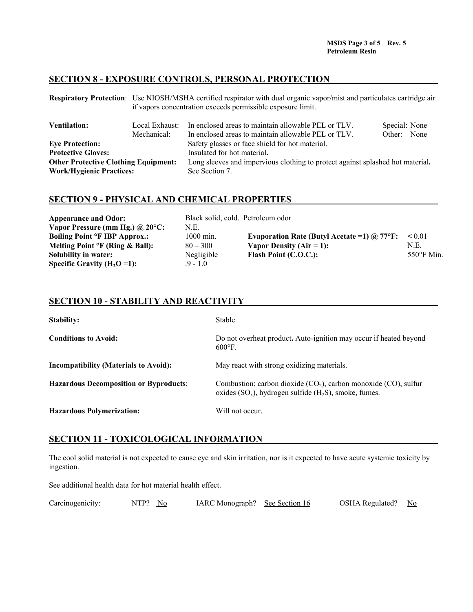#### **SECTION 8 - EXPOSURE CONTROLS, PERSONAL PROTECTION**

**Respiratory Protection**: Use NIOSH/MSHA certified respirator with dual organic vapor/mist and particulates cartridge air if vapors concentration exceeds permissible exposure limit.

| <b>Ventilation:</b>                         | Local Exhaust: | In enclosed areas to maintain allowable PEL or TLV.                            | Special: None |      |
|---------------------------------------------|----------------|--------------------------------------------------------------------------------|---------------|------|
|                                             | Mechanical:    | In enclosed areas to maintain allowable PEL or TLV.                            | Other:        | None |
| <b>Eve Protection:</b>                      |                | Safety glasses or face shield for hot material.                                |               |      |
| <b>Protective Gloves:</b>                   |                | Insulated for hot material.                                                    |               |      |
| <b>Other Protective Clothing Equipment:</b> |                | Long sleeves and impervious clothing to protect against splashed hot material. |               |      |
| <b>Work/Hygienic Practices:</b>             |                | See Section 7.                                                                 |               |      |

#### **SECTION 9 - PHYSICAL AND CHEMICAL PROPERTIES**

| <b>Appearance and Odor:</b>                     | Black solid, cold. Petroleum odor |                                                     |                      |
|-------------------------------------------------|-----------------------------------|-----------------------------------------------------|----------------------|
| Vapor Pressure (mm Hg.) $\omega$ 20°C:          | N.E.                              |                                                     |                      |
| <b>Boiling Point <sup>o</sup>F IBP Approx.:</b> | 1000 min.                         | Evaporation Rate (Butyl Acetate = 1) $\omega$ 77°F: | ${}_{0.01}$          |
| Melting Point $\circ$ F (Ring & Ball):          | $80 - 300$                        | Vapor Density $(Air = 1)$ :                         | N.E.                 |
| Solubility in water:                            | Negligible                        | Flash Point (C.O.C.):                               | $550^{\circ}$ F Min. |
| Specific Gravity ( $H_2O = 1$ ):                | $9 - 10$                          |                                                     |                      |

#### **SECTION 10 - STABILITY AND REACTIVITY**

| <b>Stability:</b>                             | <b>Stable</b>                                                                                                                       |
|-----------------------------------------------|-------------------------------------------------------------------------------------------------------------------------------------|
| <b>Conditions to Avoid:</b>                   | Do not overheat product. Auto-ignition may occur if heated beyond<br>$600^{\circ}$ F.                                               |
| <b>Incompatibility (Materials to Avoid):</b>  | May react with strong oxidizing materials.                                                                                          |
| <b>Hazardous Decomposition or Byproducts:</b> | Combustion: carbon dioxide $(CO2)$ , carbon monoxide $(CO)$ , sulfur<br>oxides $(SO_x)$ , hydrogen sulfide $(H_2S)$ , smoke, fumes. |
| <b>Hazardous Polymerization:</b>              | Will not occur.                                                                                                                     |

### **SECTION 11 - TOXICOLOGICAL INFORMATION**

The cool solid material is not expected to cause eye and skin irritation, nor is it expected to have acute systemic toxicity by ingestion.

See additional health data for hot material health effect.

| Carcinogenicity: | NTP? No | IARC Monograph? See Section 16 |  | OSHA Regulated? No |  |
|------------------|---------|--------------------------------|--|--------------------|--|
|------------------|---------|--------------------------------|--|--------------------|--|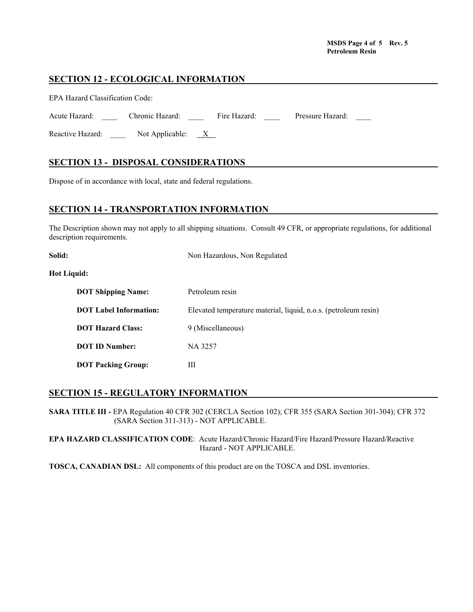#### **MSDS Page 4 of 5 Rev. 5 Petroleum Resin**

#### **SECTION 12 - ECOLOGICAL INFORMATION**

| <b>EPA Hazard Classification Code:</b> |                      |              |                  |  |
|----------------------------------------|----------------------|--------------|------------------|--|
| Acute Hazard:                          | Chronic Hazard:      | Fire Hazard: | Pressure Hazard: |  |
| Reactive Hazard:                       | Not Applicable: $X_$ |              |                  |  |

## **SECTION 13 - DISPOSAL CONSIDERATIONS**

Dispose of in accordance with local, state and federal regulations.

#### **SECTION 14 - TRANSPORTATION INFORMATION**

The Description shown may not apply to all shipping situations. Consult 49 CFR, or appropriate regulations, for additional description requirements.

| Solid:                        | Non Hazardous, Non Regulated                                    |
|-------------------------------|-----------------------------------------------------------------|
| <b>Hot Liquid:</b>            |                                                                 |
| <b>DOT Shipping Name:</b>     | Petroleum resin                                                 |
| <b>DOT</b> Label Information: | Elevated temperature material, liquid, n.o.s. (petroleum resin) |
| <b>DOT Hazard Class:</b>      | 9 (Miscellaneous)                                               |
| <b>DOT ID Number:</b>         | NA 3257                                                         |
| <b>DOT Packing Group:</b>     | Ш                                                               |

# **SECTION 15 - REGULATORY INFORMATION**

**SARA TITLE III -** EPA Regulation 40 CFR 302 (CERCLA Section 102); CFR 355 (SARA Section 301-304); CFR 372 (SARA Section 311-313) - NOT APPLICABLE.

**EPA HAZARD CLASSIFICATION CODE**: Acute Hazard/Chronic Hazard/Fire Hazard/Pressure Hazard/Reactive Hazard - NOT APPLICABLE.

**TOSCA, CANADIAN DSL:** All components of this product are on the TOSCA and DSL inventories.